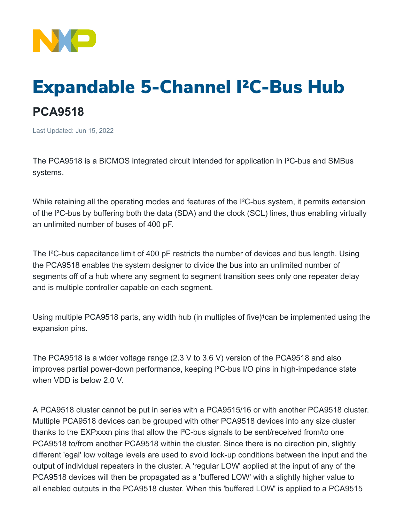

## Expandable 5-Channel I²C-Bus Hub **PCA9518**

Last Updated: Jun 15, 2022

The PCA9518 is a BiCMOS integrated circuit intended for application in I²C-bus and SMBus systems.

While retaining all the operating modes and features of the I<sup>2</sup>C-bus system, it permits extension of the I²C-bus by buffering both the data (SDA) and the clock (SCL) lines, thus enabling virtually an unlimited number of buses of 400 pF.

The I²C-bus capacitance limit of 400 pF restricts the number of devices and bus length. Using the PCA9518 enables the system designer to divide the bus into an unlimited number of segments off of a hub where any segment to segment transition sees only one repeater delay and is multiple controller capable on each segment.

Using multiple PCA9518 parts, any width hub (in multiples of five)<sup>1</sup> can be implemented using the expansion pins.

The PCA9518 is a wider voltage range (2.3 V to 3.6 V) version of the PCA9518 and also improves partial power-down performance, keeping I²C-bus I/O pins in high-impedance state when VDD is below 2.0 V.

A PCA9518 cluster cannot be put in series with a PCA9515/16 or with another PCA9518 cluster. Multiple PCA9518 devices can be grouped with other PCA9518 devices into any size cluster thanks to the EXPxxxn pins that allow the I²C-bus signals to be sent/received from/to one PCA9518 to/from another PCA9518 within the cluster. Since there is no direction pin, slightly different 'egal' low voltage levels are used to avoid lock-up conditions between the input and the output of individual repeaters in the cluster. A 'regular LOW' applied at the input of any of the PCA9518 devices will then be propagated as a 'buffered LOW' with a slightly higher value to all enabled outputs in the PCA9518 cluster. When this 'buffered LOW' is applied to a PCA9515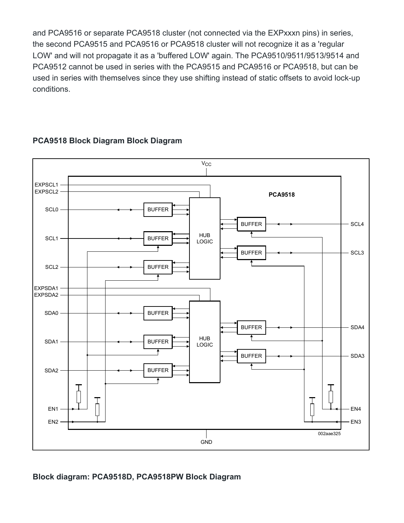and PCA9516 or separate PCA9518 cluster (not connected via the EXPxxxn pins) in series, the second PCA9515 and PCA9516 or PCA9518 cluster will not recognize it as a 'regular LOW' and will not propagate it as a 'buffered LOW' again. The PCA9510/9511/9513/9514 and PCA9512 cannot be used in series with the PCA9515 and PCA9516 or PCA9518, but can be used in series with themselves since they use shifting instead of static offsets to avoid lock-up conditions.



## **PCA9518 Block Diagram Block Diagram**

**Block diagram: PCA9518D, PCA9518PW Block Diagram**